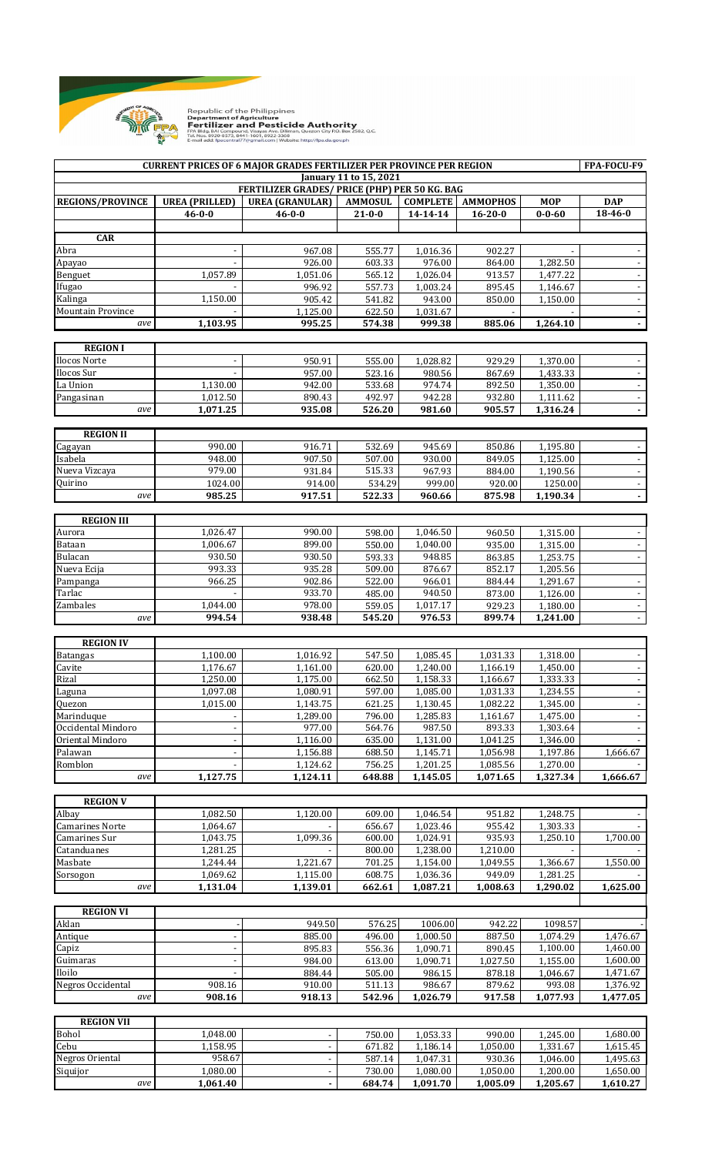

Republic of the Philippines<br>**Department of Agriculture<br>FReftilizer and Pesticide Authority**<br>FR Blds. 8Al Compound. Visayas Axe. Diliman, Quezon City RO. 8ox 2582, Q.C.<br>Tek. Nos. 8920-8573, 8441-1601, 8922-3368<br>E-mail add:

| <b>CURRENT PRICES OF 6 MAJOR GRADES FERTILIZER PER PROVINCE PER REGION</b>     |                                       |                                        |                                |                             |                                  |                            | FPA-FOCU-F9                        |  |
|--------------------------------------------------------------------------------|---------------------------------------|----------------------------------------|--------------------------------|-----------------------------|----------------------------------|----------------------------|------------------------------------|--|
| January 11 to 15, 2021<br><b>FERTILIZER GRADES/ PRICE (PHP) PER 50 KG. BAG</b> |                                       |                                        |                                |                             |                                  |                            |                                    |  |
|                                                                                |                                       |                                        |                                |                             |                                  |                            |                                    |  |
| <b>REGIONS/PROVINCE</b>                                                        | <b>UREA (PRILLED)</b><br>$46 - 0 - 0$ | <b>UREA (GRANULAR)</b><br>$46 - 0 - 0$ | <b>AMMOSUL</b><br>$21 - 0 - 0$ | <b>COMPLETE</b><br>14-14-14 | <b>AMMOPHOS</b><br>$16 - 20 - 0$ | <b>MOP</b><br>$0 - 0 - 60$ | <b>DAP</b><br>$18 - 46 - 0$        |  |
|                                                                                |                                       |                                        |                                |                             |                                  |                            |                                    |  |
| <b>CAR</b>                                                                     |                                       |                                        |                                |                             |                                  |                            |                                    |  |
| Abra                                                                           |                                       | 967.08                                 | 555.77                         | 1,016.36                    | 902.27                           |                            |                                    |  |
| Apayao                                                                         |                                       | 926.00                                 | 603.33                         | 976.00                      | 864.00                           | 1,282.50                   |                                    |  |
| Benguet                                                                        | 1,057.89                              | 1,051.06                               | 565.12                         | 1,026.04                    | 913.57                           | 1,477.22                   |                                    |  |
| Ifugao                                                                         |                                       | 996.92                                 | 557.73                         | 1,003.24                    | 895.45                           | 1,146.67                   |                                    |  |
| Kalinga<br><b>Mountain Province</b>                                            | 1,150.00                              | 905.42<br>1,125.00                     | 541.82<br>622.50               | 943.00<br>1,031.67          | 850.00                           | 1.150.00                   | $\Box$<br>$\overline{\phantom{a}}$ |  |
| ave                                                                            | 1,103.95                              | 995.25                                 | 574.38                         | 999.38                      | 885.06                           | 1,264.10                   | $\ddot{\phantom{0}}$               |  |
|                                                                                |                                       |                                        |                                |                             |                                  |                            |                                    |  |
| <b>REGION I</b>                                                                |                                       |                                        |                                |                             |                                  |                            |                                    |  |
| Ilocos Norte                                                                   |                                       | 950.91                                 | 555.00                         | 1,028.82                    | 929.29                           | 1,370.00                   | $\overline{\phantom{a}}$           |  |
| Ilocos Sur                                                                     |                                       | 957.00                                 | 523.16                         | 980.56                      | 867.69                           | 1,433.33                   |                                    |  |
| La Union                                                                       | 1,130.00                              | 942.00                                 | 533.68                         | 974.74                      | 892.50                           | 1,350.00                   | $\Box$                             |  |
| Pangasinan                                                                     | 1,012.50                              | 890.43                                 | 492.97                         | 942.28                      | 932.80                           | 1,111.62                   | $\Box$                             |  |
| ave                                                                            | 1,071.25                              | 935.08                                 | 526.20                         | 981.60                      | 905.57                           | 1,316.24                   | $\overline{\phantom{a}}$           |  |
|                                                                                |                                       |                                        |                                |                             |                                  |                            |                                    |  |
| <b>REGION II</b><br>Cagayan                                                    | 990.00                                | 916.71                                 | 532.69                         | 945.69                      | 850.86                           | 1,195.80                   |                                    |  |
| Isabela                                                                        | 948.00                                | 907.50                                 | 507.00                         | 930.00                      | 849.05                           | 1,125.00                   |                                    |  |
| Nueva Vizcaya                                                                  | 979.00                                | 931.84                                 | 515.33                         | 967.93                      | 884.00                           | 1,190.56                   | $\Box$                             |  |
| Quirino                                                                        | 1024.00                               | 914.00                                 | 534.29                         | 999.00                      | 920.00                           | 1250.00                    | $\overline{\phantom{a}}$           |  |
| ave                                                                            | 985.25                                | 917.51                                 | 522.33                         | 960.66                      | 875.98                           | 1,190.34                   | $\frac{1}{2}$                      |  |
|                                                                                |                                       |                                        |                                |                             |                                  |                            |                                    |  |
| <b>REGION III</b>                                                              |                                       |                                        |                                |                             |                                  |                            |                                    |  |
| Aurora                                                                         | 1,026.47                              | 990.00                                 | 598.00                         | 1,046.50                    | 960.50                           | 1,315.00                   |                                    |  |
| Bataan<br>Bulacan                                                              | 1,006.67<br>930.50                    | 899.00<br>930.50                       | 550.00<br>593.33               | 1,040.00<br>948.85          | 935.00<br>863.85                 | 1,315.00<br>1,253.75       |                                    |  |
| Nueva Ecija                                                                    | 993.33                                | 935.28                                 | 509.00                         | 876.67                      | 852.17                           | 1,205.56                   |                                    |  |
| Pampanga                                                                       | 966.25                                | 902.86                                 | 522.00                         | 966.01                      | 884.44                           | 1,291.67                   | $\overline{\phantom{a}}$           |  |
| Tarlac                                                                         |                                       | 933.70                                 | 485.00                         | 940.50                      | 873.00                           | 1,126.00                   | $\Box$                             |  |
| Zambales                                                                       | 1,044.00                              | 978.00                                 | 559.05                         | 1,017.17                    | 929.23                           | 1,180.00                   | $\overline{a}$                     |  |
| ave                                                                            | 994.54                                | 938.48                                 | 545.20                         | 976.53                      | 899.74                           | 1,241.00                   |                                    |  |
|                                                                                |                                       |                                        |                                |                             |                                  |                            |                                    |  |
| <b>REGION IV</b>                                                               |                                       |                                        |                                |                             |                                  |                            |                                    |  |
| <b>Batangas</b><br>Cavite                                                      | 1,100.00<br>1,176.67                  | 1,016.92<br>1,161.00                   | 547.50<br>620.00               | 1,085.45<br>1,240.00        | 1,031.33<br>1,166.19             | 1,318.00<br>1,450.00       |                                    |  |
| Rizal                                                                          | 1,250.00                              | 1,175.00                               | 662.50                         | 1,158.33                    | 1,166.67                         | 1,333.33                   |                                    |  |
| Laguna                                                                         | 1,097.08                              | 1,080.91                               | 597.00                         | 1,085.00                    | 1,031.33                         | 1,234.55                   | $\overline{\phantom{a}}$           |  |
| Quezon                                                                         | 1,015.00                              | 1,143.75                               | 621.25                         | 1,130.45                    | 1,082.22                         | 1,345.00                   | $\overline{\phantom{a}}$           |  |
| Marinduque                                                                     |                                       | 1,289.00                               | 796.00                         | 1,285.83                    | 1,161.67                         | 1,475.00                   | $\blacksquare$                     |  |
| Occidental Mindoro                                                             |                                       | 977.00                                 | 564.76                         | 987.50                      | 893.33                           | 1,303.64                   |                                    |  |
| Oriental Mindoro                                                               |                                       | 1,116.00                               | 635.00                         | 1,131.00                    | 1,041.25                         | 1,346.00                   |                                    |  |
| Palawan                                                                        |                                       | 1,156.88                               | 688.50                         | 1,145.71                    | 1,056.98                         | 1,197.86                   | 1,666.67                           |  |
| Romblon                                                                        |                                       | 1,124.62                               | 756.25                         | 1,201.25                    | 1,085.56                         | 1,270.00                   |                                    |  |
| ave                                                                            | 1,127.75                              | 1,124.11                               | 648.88                         | 1,145.05                    | 1,071.65                         | 1,327.34                   | 1,666.67                           |  |
| <b>REGION V</b>                                                                |                                       |                                        |                                |                             |                                  |                            |                                    |  |
| Albay                                                                          | 1,082.50                              | 1,120.00                               | 609.00                         | 1,046.54                    | 951.82                           | 1,248.75                   |                                    |  |
| <b>Camarines Norte</b>                                                         | 1,064.67                              |                                        | 656.67                         | 1,023.46                    | 955.42                           | 1,303.33                   |                                    |  |
| Camarines Sur                                                                  | 1,043.75                              | 1,099.36                               | 600.00                         | 1,024.91                    | 935.93                           | 1,250.10                   | 1,700.00                           |  |
| Catanduanes                                                                    | 1,281.25                              |                                        | 800.00                         | 1,238.00                    | 1,210.00                         |                            |                                    |  |
| Masbate                                                                        | 1,244.44                              | 1,221.67                               | 701.25                         | 1,154.00                    | 1,049.55                         | 1,366.67                   | 1,550.00                           |  |
| Sorsogon                                                                       | 1,069.62                              | 1,115.00                               | 608.75                         | 1,036.36                    | 949.09                           | 1,281.25                   |                                    |  |
| ave                                                                            | 1,131.04                              | 1,139.01                               | 662.61                         | 1,087.21                    | 1,008.63                         | 1,290.02                   | 1,625.00                           |  |
| <b>REGION VI</b>                                                               |                                       |                                        |                                |                             |                                  |                            |                                    |  |
| Aklan                                                                          |                                       | 949.50                                 | 576.25                         | 1006.00                     | 942.22                           | 1098.57                    |                                    |  |
| Antique                                                                        |                                       | 885.00                                 | 496.00                         | 1,000.50                    | 887.50                           | 1,074.29                   | 1,476.67                           |  |
| Capiz                                                                          |                                       | 895.83                                 | 556.36                         | 1,090.71                    | 890.45                           | 1,100.00                   | 1,460.00                           |  |
| Guimaras                                                                       |                                       | 984.00                                 | 613.00                         | 1,090.71                    | 1,027.50                         | 1,155.00                   | 1,600.00                           |  |
| Iloilo                                                                         |                                       | 884.44                                 | 505.00                         | 986.15                      | 878.18                           | 1,046.67                   | 1,471.67                           |  |
| Negros Occidental                                                              | 908.16                                | 910.00                                 | 511.13                         | 986.67                      | 879.62                           | 993.08                     | 1,376.92                           |  |
| ave                                                                            | 908.16                                | 918.13                                 | 542.96                         | 1,026.79                    | 917.58                           | 1,077.93                   | 1,477.05                           |  |
| <b>REGION VII</b>                                                              |                                       |                                        |                                |                             |                                  |                            |                                    |  |
| <b>Bohol</b>                                                                   | 1,048.00                              |                                        | 750.00                         | 1,053.33                    | 990.00                           | 1,245.00                   | 1,680.00                           |  |
| Cebu                                                                           | 1,158.95                              |                                        | 671.82                         | 1,186.14                    | 1,050.00                         | 1,331.67                   | 1,615.45                           |  |
| Negros Oriental                                                                | 958.67                                |                                        | 587.14                         | 1,047.31                    | 930.36                           | 1,046.00                   | 1,495.63                           |  |
| Siquijor                                                                       | 1,080.00                              |                                        | 730.00                         | 1,080.00                    | 1,050.00                         | 1,200.00                   | 1,650.00                           |  |
| ave                                                                            | 1,061.40                              |                                        | 684.74                         | 1,091.70                    | 1,005.09                         | 1,205.67                   | 1,610.27                           |  |